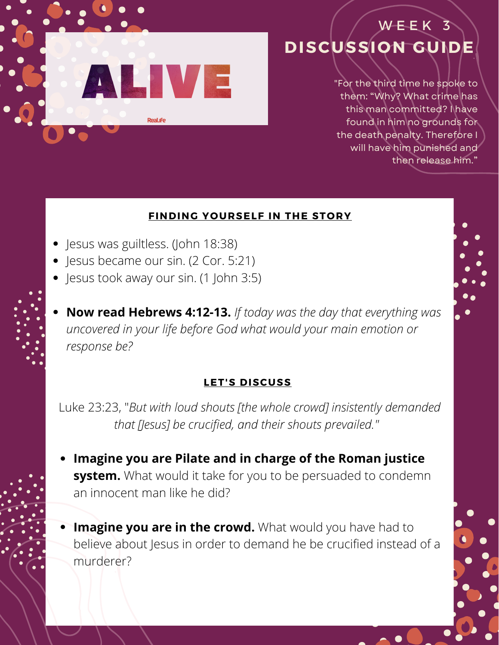

# **DISCUSSION GUIDE** W E E K 3

"For the third time he spoke to them: "Why? What crime has this man committed? I have found in him no grounds for the death penalty. Therefore I will have him punished and then release him."

#### **FINDING YOURSELF IN THE STORY**

- Jesus was guiltless. (John 18:38)
- Jesus became our sin. (2 Cor. 5:21)
- Jesus took away our sin. (1 John 3:5)
- **Now read Hebrews 4:12-13.** *If today was the day that everything was uncovered in your life before God what would your main emotion or response be?*

### **LET'S DISCUSS**

Luke 23:23, "*But with loud shouts [the whole crowd] insistently demanded that [Jesus] be crucified, and their shouts prevailed."* 

- **Imagine you are Pilate and in charge of the Roman justice system.** What would it take for you to be persuaded to condemn an innocent man like he did?
- **Imagine you are in the crowd.** What would you have had to believe about Jesus in order to demand he be crucified instead of a murderer?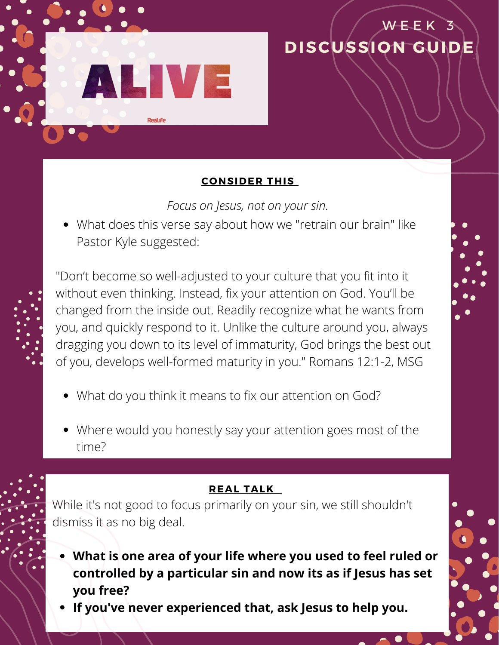

### **CONSIDER THIS**

**DISCUSSION GUIDE**

W E E K 3

*Focus on Jesus, not on your sin.*

What does this verse say about how we "retrain our brain" like Pastor Kyle suggested:



"Don't become so well-adjusted to your culture that you fit into it without even thinking. Instead, fix your attention on God. You'll be changed from the inside out. Readily recognize what he wants from you, and quickly respond to it. Unlike the culture around you, always dragging you down to its level of immaturity, God brings the best out of you, develops well-formed maturity in you." Romans 12:1-2, MSG

- What do you think it means to fix our attention on God?
- Where would you honestly say your attention goes most of the time?

### **REAL TALK**

While it's not good to focus primarily on your sin, we still shouldn't dismiss it as no big deal.

- **What is one area of your life where you used to feel ruled or controlled by a particular sin and now its as if Jesus has set you free?**
- **If you've never experienced that, ask Jesus to help you.**